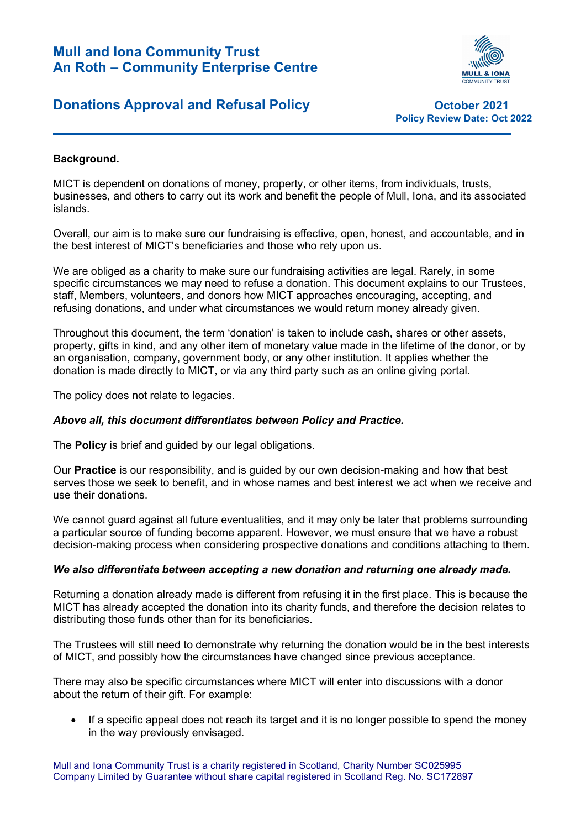

## **Donations Approval and Refusal Policy Constructs Constrainers** October 2021

Policy Review Date: Oct 2022

### Background.

MICT is dependent on donations of money, property, or other items, from individuals, trusts, businesses, and others to carry out its work and benefit the people of Mull, Iona, and its associated islands.

Overall, our aim is to make sure our fundraising is effective, open, honest, and accountable, and in the best interest of MICT's beneficiaries and those who rely upon us.

We are obliged as a charity to make sure our fundraising activities are legal. Rarely, in some specific circumstances we may need to refuse a donation. This document explains to our Trustees, staff, Members, volunteers, and donors how MICT approaches encouraging, accepting, and refusing donations, and under what circumstances we would return money already given.

Throughout this document, the term 'donation' is taken to include cash, shares or other assets, property, gifts in kind, and any other item of monetary value made in the lifetime of the donor, or by an organisation, company, government body, or any other institution. It applies whether the donation is made directly to MICT, or via any third party such as an online giving portal.

The policy does not relate to legacies.

### Above all, this document differentiates between Policy and Practice.

The **Policy** is brief and quided by our legal obligations.

Our Practice is our responsibility, and is guided by our own decision-making and how that best serves those we seek to benefit, and in whose names and best interest we act when we receive and use their donations.

We cannot guard against all future eventualities, and it may only be later that problems surrounding a particular source of funding become apparent. However, we must ensure that we have a robust decision-making process when considering prospective donations and conditions attaching to them.

#### We also differentiate between accepting a new donation and returning one already made.

Returning a donation already made is different from refusing it in the first place. This is because the MICT has already accepted the donation into its charity funds, and therefore the decision relates to distributing those funds other than for its beneficiaries.

The Trustees will still need to demonstrate why returning the donation would be in the best interests of MICT, and possibly how the circumstances have changed since previous acceptance.

There may also be specific circumstances where MICT will enter into discussions with a donor about the return of their gift. For example:

• If a specific appeal does not reach its target and it is no longer possible to spend the money in the way previously envisaged.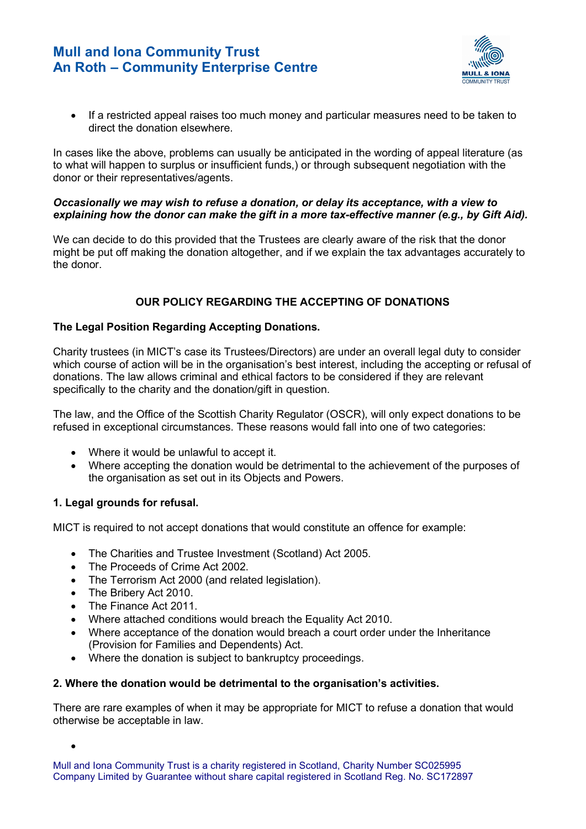

 If a restricted appeal raises too much money and particular measures need to be taken to direct the donation elsewhere.

In cases like the above, problems can usually be anticipated in the wording of appeal literature (as to what will happen to surplus or insufficient funds,) or through subsequent negotiation with the donor or their representatives/agents.

#### Occasionally we may wish to refuse a donation, or delay its acceptance, with a view to explaining how the donor can make the gift in a more tax-effective manner (e.g., by Gift Aid).

We can decide to do this provided that the Trustees are clearly aware of the risk that the donor might be put off making the donation altogether, and if we explain the tax advantages accurately to the donor.

## OUR POLICY REGARDING THE ACCEPTING OF DONATIONS

### The Legal Position Regarding Accepting Donations.

Charity trustees (in MICT's case its Trustees/Directors) are under an overall legal duty to consider which course of action will be in the organisation's best interest, including the accepting or refusal of donations. The law allows criminal and ethical factors to be considered if they are relevant specifically to the charity and the donation/gift in question.

The law, and the Office of the Scottish Charity Regulator (OSCR), will only expect donations to be refused in exceptional circumstances. These reasons would fall into one of two categories:

- Where it would be unlawful to accept it.
- Where accepting the donation would be detrimental to the achievement of the purposes of the organisation as set out in its Objects and Powers.

## 1. Legal grounds for refusal.

MICT is required to not accept donations that would constitute an offence for example:

- The Charities and Trustee Investment (Scotland) Act 2005.
- The Proceeds of Crime Act 2002.
- The Terrorism Act 2000 (and related legislation).
- The Bribery Act 2010.
- The Finance Act 2011.

 $\bullet$ 

- Where attached conditions would breach the Equality Act 2010.
- Where acceptance of the donation would breach a court order under the Inheritance (Provision for Families and Dependents) Act.
- Where the donation is subject to bankruptcy proceedings.

### 2. Where the donation would be detrimental to the organisation's activities.

There are rare examples of when it may be appropriate for MICT to refuse a donation that would otherwise be acceptable in law.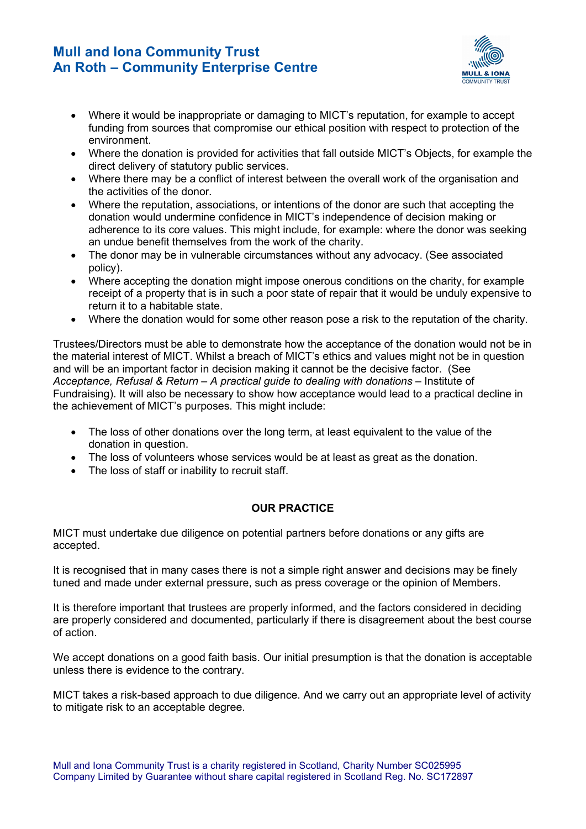

- Where it would be inappropriate or damaging to MICT's reputation, for example to accept funding from sources that compromise our ethical position with respect to protection of the environment.
- Where the donation is provided for activities that fall outside MICT's Objects, for example the direct delivery of statutory public services.
- Where there may be a conflict of interest between the overall work of the organisation and the activities of the donor.
- Where the reputation, associations, or intentions of the donor are such that accepting the donation would undermine confidence in MICT's independence of decision making or adherence to its core values. This might include, for example: where the donor was seeking an undue benefit themselves from the work of the charity.
- The donor may be in vulnerable circumstances without any advocacy. (See associated policy).
- Where accepting the donation might impose onerous conditions on the charity, for example receipt of a property that is in such a poor state of repair that it would be unduly expensive to return it to a habitable state.
- Where the donation would for some other reason pose a risk to the reputation of the charity.

Trustees/Directors must be able to demonstrate how the acceptance of the donation would not be in the material interest of MICT. Whilst a breach of MICT's ethics and values might not be in question and will be an important factor in decision making it cannot be the decisive factor. (See Acceptance, Refusal & Return – A practical guide to dealing with donations – Institute of Fundraising). It will also be necessary to show how acceptance would lead to a practical decline in the achievement of MICT's purposes. This might include:

- The loss of other donations over the long term, at least equivalent to the value of the donation in question.
- The loss of volunteers whose services would be at least as great as the donation.
- The loss of staff or inability to recruit staff.

## OUR PRACTICE

MICT must undertake due diligence on potential partners before donations or any gifts are accepted.

It is recognised that in many cases there is not a simple right answer and decisions may be finely tuned and made under external pressure, such as press coverage or the opinion of Members.

It is therefore important that trustees are properly informed, and the factors considered in deciding are properly considered and documented, particularly if there is disagreement about the best course of action.

We accept donations on a good faith basis. Our initial presumption is that the donation is acceptable unless there is evidence to the contrary.

MICT takes a risk-based approach to due diligence. And we carry out an appropriate level of activity to mitigate risk to an acceptable degree.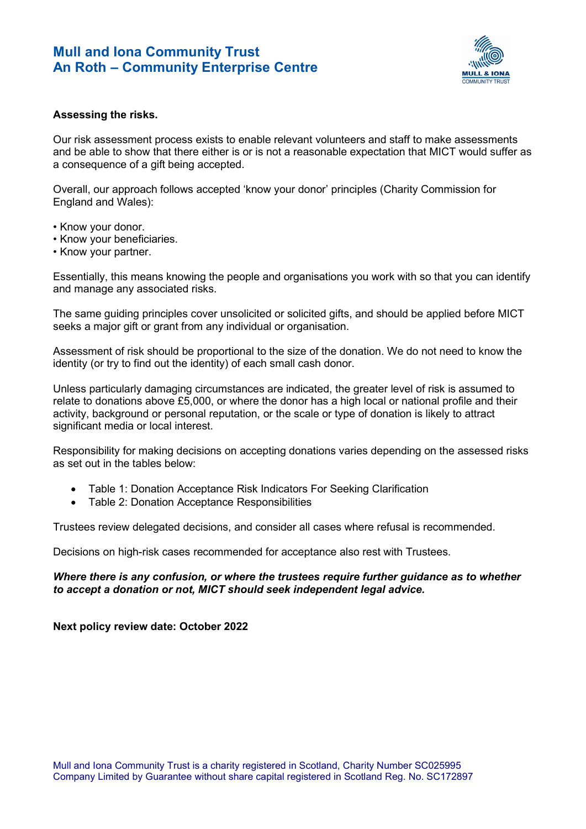

#### Assessing the risks.

Our risk assessment process exists to enable relevant volunteers and staff to make assessments and be able to show that there either is or is not a reasonable expectation that MICT would suffer as a consequence of a gift being accepted.

Overall, our approach follows accepted 'know your donor' principles (Charity Commission for England and Wales):

- Know your donor.
- Know your beneficiaries.
- Know your partner.

Essentially, this means knowing the people and organisations you work with so that you can identify and manage any associated risks.

The same guiding principles cover unsolicited or solicited gifts, and should be applied before MICT seeks a major gift or grant from any individual or organisation.

Assessment of risk should be proportional to the size of the donation. We do not need to know the identity (or try to find out the identity) of each small cash donor.

Unless particularly damaging circumstances are indicated, the greater level of risk is assumed to relate to donations above £5,000, or where the donor has a high local or national profile and their activity, background or personal reputation, or the scale or type of donation is likely to attract significant media or local interest.

Responsibility for making decisions on accepting donations varies depending on the assessed risks as set out in the tables below:

- Table 1: Donation Acceptance Risk Indicators For Seeking Clarification
- Table 2: Donation Acceptance Responsibilities

Trustees review delegated decisions, and consider all cases where refusal is recommended.

Decisions on high-risk cases recommended for acceptance also rest with Trustees.

Where there is any confusion, or where the trustees require further quidance as to whether to accept a donation or not, MICT should seek independent legal advice.

Next policy review date: October 2022